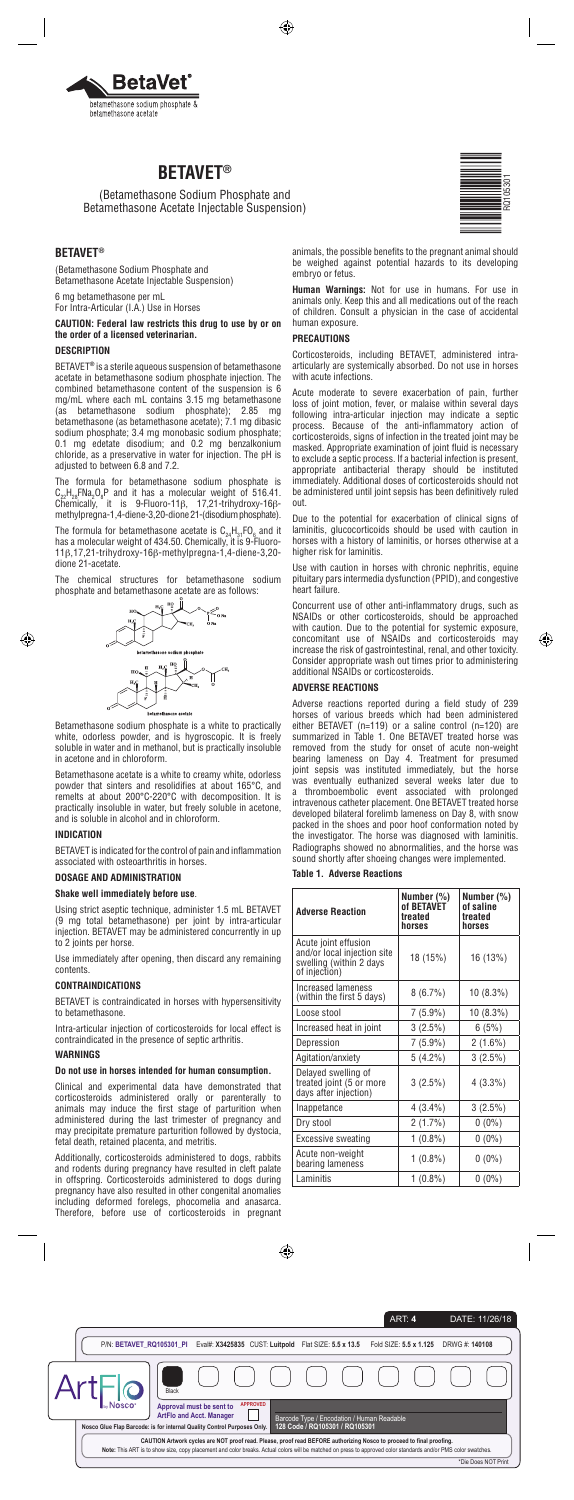

# **BETAVET®**

(Betamethasone Sodium Phosphate and Betamethasone Acetate Injectable Suspension)

# **BETAVET®**

(Betamethasone Sodium Phosphate and Betamethasone Acetate Injectable Suspension)

6 mg betamethasone per mL

For Intra-Articular (I.A.) Use in Horses

**CAUTION: Federal law restricts this drug to use by or on the order of a licensed veterinarian.**

#### **DESCRIPTION**

BETAVET**®** is a sterile aqueous suspension of betamethasone acetate in betamethasone sodium phosphate injection. The combined betamethasone content of the suspension is 6 mg/mL where each mL contains 3.15 mg betamethasone<br>(as betamethasone sodium phosphate): 2.85 mg (as betamethasone sodium phosphate);  $2.85$ betamethasone (as betamethasone acetate); 7.1 mg dibasic sodium phosphate; 3.4 mg monobasic sodium phosphate; 0.1 mg edetate disodium; and 0.2 mg benzalkonium chloride, as a preservative in water for injection. The pH is adjusted to between 6.8 and 7.2.

The formula for betamethasone sodium phosphate is  $C_{22}H_{28}FNa_2O_8P$  and it has a molecular weight of 516.41. Chemically, it is 9-Fluoro-11β, 17,21-trihydroxy-16βmethylpregna-1,4-diene-3,20-dione 21-(disodium phosphate).

The formula for betamethasone acetate is  $C_{24}H_{31}FQ_6$  and it has a molecular weight of 434.50. Chemically, it is 9-Fluoro-11β,17,21-trihydroxy-16β-methylpregna-1,4-diene-3,20 dione 21-acetate.

The chemical structures for betamethasone sodium phosphate and betamethasone acetate are as follows:



Betamethasone sodium phosphate is a white to practically white, odorless powder, and is hygroscopic. It is freely soluble in water and in methanol, but is practically insoluble in acetone and in chloroform.

Betamethasone acetate is a white to creamy white, odorless powder that sinters and resolidifies at about 165°C, and remelts at about 200°C-220°C with decomposition. It is practically insoluble in water, but freely soluble in acetone, and is soluble in alcohol and in chloroform.

#### **INDICATION**

BETAVET is indicated for the control of pain and inflammation associated with osteoarthritis in horses.

## **DOSAGE AND ADMINISTRATION**

## **Shake well immediately before use**.

Using strict aseptic technique, administer 1.5 mL BETAVET (9 mg total betamethasone) per joint by intra-articular injection. BETAVET may be administered concurrently in up to 2 joints per horse.

Use immediately after opening, then discard any remaining contents.

#### **CONTRAINDICATIONS**

BETAVET is contraindicated in horses with hypersensitivity to betamethasone.

Intra-articular injection of corticosteroids for local effect is contraindicated in the presence of septic arthritis.

## **WARNINGS**

**Do not use in horses intended for human consumption.** 

Clinical and experimental data have demonstrated that corticosteroids administered orally or parenterally to animals may induce the first stage of parturition when administered during the last trimester of pregnancy and may precipitate premature parturition followed by dystocia, fetal death, retained placenta, and metritis.

Additionally, corticosteroids administered to dogs, rabbits and rodents during pregnancy have resulted in cleft palate in offspring. Corticosteroids administered to dogs during pregnancy have also resulted in other congenital anomalies including deformed forelegs, phocomelia and anasarca. Therefore, before use of corticosteroids in pregnant animals, the possible benefits to the pregnant animal should be weighed against potential hazards to its developing embryo or fetus.

**Human Warnings:** Not for use in humans. For use in animals only. Keep this and all medications out of the reach of children. Consult a physician in the case of accidental human exposure.

#### **PRECAUTIONS**

Corticosteroids, including BETAVET, administered intraarticularly are systemically absorbed. Do not use in horses with acute infections.

Acute moderate to severe exacerbation of pain, further loss of joint motion, fever, or malaise within several days following intra-articular injection may indicate a septic process. Because of the anti-inflammatory action of corticosteroids, signs of infection in the treated joint may be masked. Appropriate examination of joint fluid is necessary to exclude a septic process. If a bacterial infection is present, appropriate antibacterial therapy should be instituted immediately. Additional doses of corticosteroids should not be administered until joint sepsis has been definitively ruled out.

Due to the potential for exacerbation of clinical signs of laminitis, glucocorticoids should be used with caution in horses with a history of laminitis, or horses otherwise at a higher risk for laminitis.

Use with caution in horses with chronic nephritis, equine pituitary pars intermedia dysfunction (PPID), and congestive heart failure.

Concurrent use of other anti-inflammatory drugs, such as NSAIDs or other corticosteroids, should be approached with caution. Due to the potential for systemic exposure, concomitant use of NSAIDs and corticosteroids may increase the risk of gastrointestinal, renal, and other toxicity. Consider appropriate wash out times prior to administering additional NSAIDs or corticosteroids.

#### **ADVERSE REACTIONS**

Adverse reactions reported during a field study of 239 horses of various breeds which had been administered either BETAVET (n=119) or a saline control (n=120) are summarized in Table 1. One BETAVET treated horse was removed from the study for onset of acute non-weight bearing lameness on Day 4. Treatment for presumed joint sepsis was instituted immediately, but the horse was eventually euthanized several weeks later due to a thromboembolic event associated with prolonged intravenous catheter placement. One BETAVET treated horse developed bilateral forelimb lameness on Day 8, with snow packed in the shoes and poor hoof conformation noted by the investigator. The horse was diagnosed with laminitis. Radiographs showed no abnormalities, and the horse was sound shortly after shoeing changes were implemented.

**Table 1. Adverse Reactions**

| <b>Adverse Reaction</b>                                                                         | Number (%)<br>of BETAVET<br>treated<br>horses | Number (%)<br>of saline<br>treated<br>horses |  |
|-------------------------------------------------------------------------------------------------|-----------------------------------------------|----------------------------------------------|--|
| Acute joint effusion<br>and/or local injection site<br>swelling (within 2 days<br>of injection) | 18 (15%)                                      | 16 (13%)                                     |  |
| <b>Increased lameness</b><br>(within the first 5 days)                                          | $8(6.7\%)$                                    | $10(8.3\%)$                                  |  |
| Loose stool                                                                                     | $7(5.9\%)$                                    | $10(8.3\%)$                                  |  |
| Increased heat in joint                                                                         | $3(2.5\%)$                                    | 6(5%)                                        |  |
| Depression                                                                                      | $7(5.9\%)$                                    | $2(1.6\%)$                                   |  |
| Agitation/anxiety                                                                               | $5(4.2\%)$                                    | $3(2.5\%)$                                   |  |
| Delayed swelling of<br>treated joint (5 or more<br>days after injection)                        | $3(2.5\%)$                                    | $4(3.3\%)$                                   |  |
| Inappetance                                                                                     | $4(3.4\%)$                                    | $3(2.5\%)$                                   |  |
| Dry stool                                                                                       | $2(1.7\%)$                                    | $0(0\%)$                                     |  |
| Excessive sweating                                                                              | $1(0.8\%)$                                    | $0(0\%)$                                     |  |
| Acute non-weight<br>bearing lameness                                                            | $1(0.8\%)$                                    | $0(0\%)$                                     |  |
| Laminitis                                                                                       | $1(0.8\%)$                                    | $0(0\%)$                                     |  |